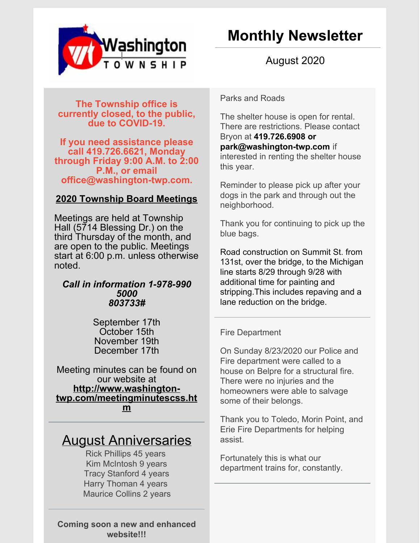

August 2020

**The Township office is currently closed, to the public, due to COVID-19.**

**If you need assistance please call 419.726.6621, Monday through Friday 9:00 A.M. to 2:00 P.M., or email office@washington-twp.com.**

## **2020 Township Board Meetings**

Meetings are held at Township Hall (5714 Blessing Dr.) on the third Thursday of the month, and are open to the public. Meetings start at 6:00 p.m. unless otherwise noted.

## *Call in information 1-978-990 5000 803733#*

September 17th October 15th November 19th December 17th

Meeting minutes can be found on our website at **http://www.washington[twp.com/meetingminutescss.ht](http://www.washington-twp.com/meetingminutescss.htm) m**

## August Anniversaries

Rick Phillips 45 years Kim McIntosh 9 years Tracy Stanford 4 years Harry Thoman 4 years Maurice Collins 2 years

**Coming soon a new and enhanced website!!!**

Parks and Roads

The shelter house is open for rental. There are restrictions. Please contact Bryon at **419.726.6908 or [park@washington-twp.com](mailto:park@washington-twp.com)** if interested in renting the shelter house this year.

Reminder to please pick up after your dogs in the park and through out the neighborhood.

Thank you for continuing to pick up the blue bags.

Road construction on Summit St. from 131st, over the bridge, to the Michigan line starts 8/29 through 9/28 with additional time for painting and stripping.This includes repaving and a lane reduction on the bridge.

## Fire Department

On Sunday 8/23/2020 our Police and Fire department were called to a house on Belpre for a structural fire. There were no injuries and the homeowners were able to salvage some of their belongs.

Thank you to Toledo, Morin Point, and Erie Fire Departments for helping assist.

Fortunately this is what our department trains for, constantly.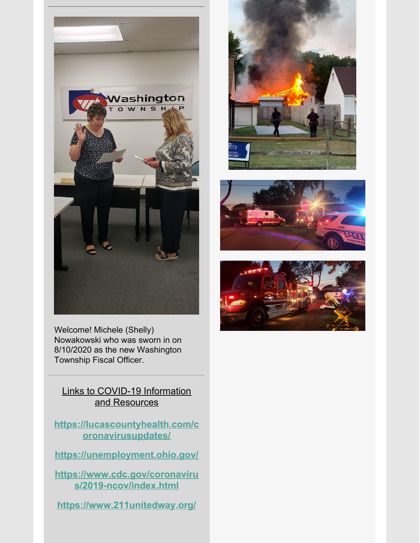







Welcome! Michele (Shelly) Nowakowski who was sworn in on 8/10/2020 as the new Washington Township Fiscal Officer.

Links to COVID-19 Information and Resources

**[https://lucascountyhealth.com/c](https://lucascountyhealth.com/coronavirusupdates/) oronavirusupdates/**

**<https://unemployment.ohio.gov/>**

**[https://www.cdc.gov/coronaviru](https://www.cdc.gov/coronavirus/2019-ncov/index.html) s/2019-ncov/index.html**

**<https://www.211unitedway.org/>**